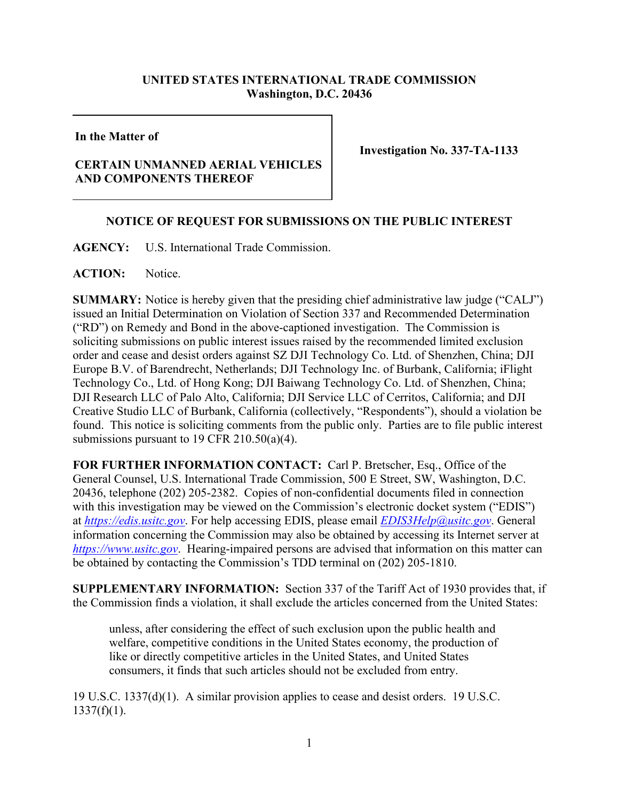## **UNITED STATES INTERNATIONAL TRADE COMMISSION Washington, D.C. 20436**

## **In the Matter of**

## **CERTAIN UNMANNED AERIAL VEHICLES AND COMPONENTS THEREOF**

**Investigation No. 337-TA-1133**

## **NOTICE OF REQUEST FOR SUBMISSIONS ON THE PUBLIC INTEREST**

**AGENCY:** U.S. International Trade Commission.

**ACTION:** Notice.

**SUMMARY:** Notice is hereby given that the presiding chief administrative law judge ("CALJ") issued an Initial Determination on Violation of Section 337 and Recommended Determination ("RD") on Remedy and Bond in the above-captioned investigation. The Commission is soliciting submissions on public interest issues raised by the recommended limited exclusion order and cease and desist orders against SZ DJI Technology Co. Ltd. of Shenzhen, China; DJI Europe B.V. of Barendrecht, Netherlands; DJI Technology Inc. of Burbank, California; iFlight Technology Co., Ltd. of Hong Kong; DJI Baiwang Technology Co. Ltd. of Shenzhen, China; DJI Research LLC of Palo Alto, California; DJI Service LLC of Cerritos, California; and DJI Creative Studio LLC of Burbank, California (collectively, "Respondents"), should a violation be found. This notice is soliciting comments from the public only. Parties are to file public interest submissions pursuant to 19 CFR 210.50(a)(4).

**FOR FURTHER INFORMATION CONTACT:** Carl P. Bretscher, Esq., Office of the General Counsel, U.S. International Trade Commission, 500 E Street, SW, Washington, D.C. 20436, telephone (202) 205-2382. Copies of non-confidential documents filed in connection with this investigation may be viewed on the Commission's electronic docket system ("EDIS") at *[https://edis.usitc.gov](https://edis.usitc.gov/)*. For help accessing EDIS, please email *[EDIS3Help@usitc.gov](mailto:EDIS3Help@usitc.gov)*. General information concerning the Commission may also be obtained by accessing its Internet server at *[https://www.usitc.gov](https://www.usitc.gov/)*. Hearing-impaired persons are advised that information on this matter can be obtained by contacting the Commission's TDD terminal on (202) 205-1810.

**SUPPLEMENTARY INFORMATION:** Section 337 of the Tariff Act of 1930 provides that, if the Commission finds a violation, it shall exclude the articles concerned from the United States:

unless, after considering the effect of such exclusion upon the public health and welfare, competitive conditions in the United States economy, the production of like or directly competitive articles in the United States, and United States consumers, it finds that such articles should not be excluded from entry.

19 U.S.C. 1337(d)(1). A similar provision applies to cease and desist orders. 19 U.S.C.  $1337(f)(1)$ .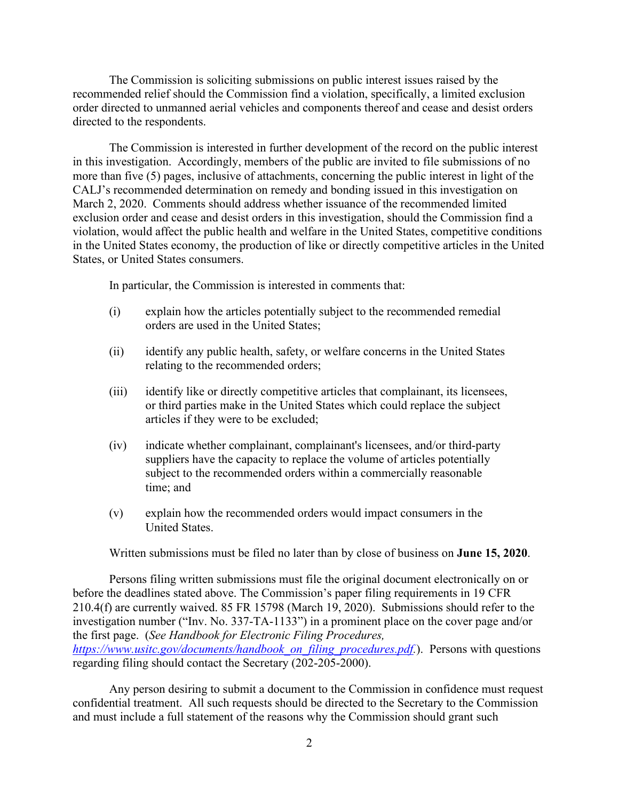The Commission is soliciting submissions on public interest issues raised by the recommended relief should the Commission find a violation, specifically, a limited exclusion order directed to unmanned aerial vehicles and components thereof and cease and desist orders directed to the respondents.

The Commission is interested in further development of the record on the public interest in this investigation. Accordingly, members of the public are invited to file submissions of no more than five (5) pages, inclusive of attachments, concerning the public interest in light of the CALJ's recommended determination on remedy and bonding issued in this investigation on March 2, 2020. Comments should address whether issuance of the recommended limited exclusion order and cease and desist orders in this investigation, should the Commission find a violation, would affect the public health and welfare in the United States, competitive conditions in the United States economy, the production of like or directly competitive articles in the United States, or United States consumers.

In particular, the Commission is interested in comments that:

- (i) explain how the articles potentially subject to the recommended remedial orders are used in the United States;
- (ii) identify any public health, safety, or welfare concerns in the United States relating to the recommended orders;
- (iii) identify like or directly competitive articles that complainant, its licensees, or third parties make in the United States which could replace the subject articles if they were to be excluded;
- (iv) indicate whether complainant, complainant's licensees, and/or third-party suppliers have the capacity to replace the volume of articles potentially subject to the recommended orders within a commercially reasonable time; and
- (v) explain how the recommended orders would impact consumers in the United States.

Written submissions must be filed no later than by close of business on **June 15, 2020**.

Persons filing written submissions must file the original document electronically on or before the deadlines stated above. The Commission's paper filing requirements in 19 CFR 210.4(f) are currently waived. 85 FR 15798 (March 19, 2020). Submissions should refer to the investigation number ("Inv. No. 337-TA-1133") in a prominent place on the cover page and/or the first page. (*See Handbook for Electronic Filing Procedures, [https://www.usitc.gov/documents/handbook\\_on\\_filing\\_procedures.pdf.](https://www.usitc.gov/documents/handbook_on_filing_procedures.pdf)*). Persons with questions regarding filing should contact the Secretary (202-205-2000).

Any person desiring to submit a document to the Commission in confidence must request confidential treatment. All such requests should be directed to the Secretary to the Commission and must include a full statement of the reasons why the Commission should grant such